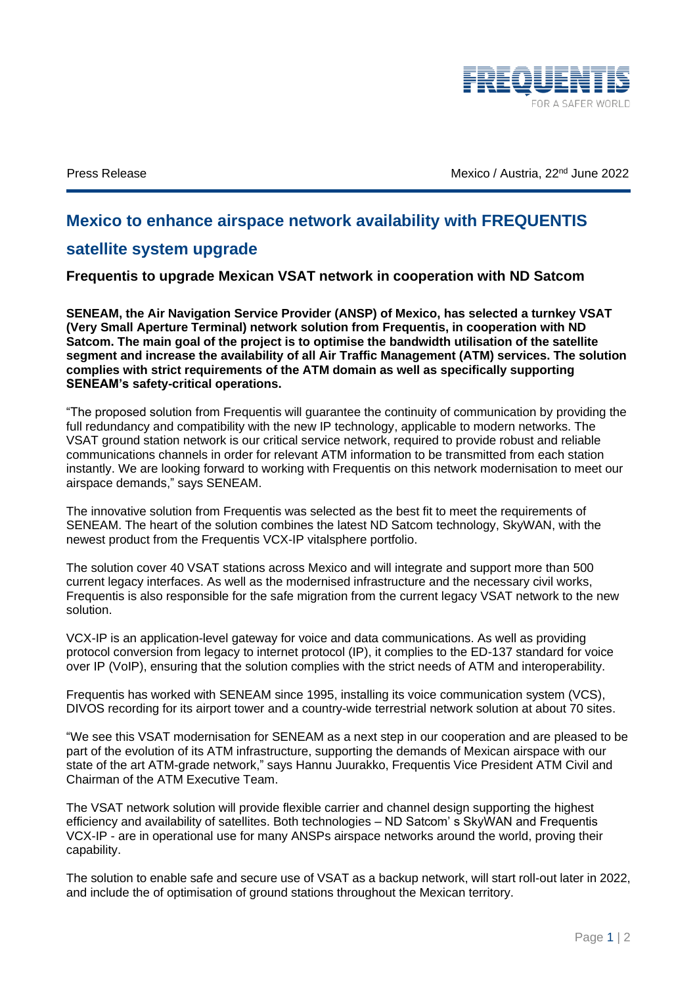

Press Release **Mexico** / Austria, 22<sup>nd</sup> June 2022

## **Mexico to enhance airspace network availability with FREQUENTIS**

## **satellite system upgrade**

**Frequentis to upgrade Mexican VSAT network in cooperation with ND Satcom** 

**SENEAM, the Air Navigation Service Provider (ANSP) of Mexico, has selected a turnkey VSAT (Very Small Aperture Terminal) network solution from Frequentis, in cooperation with ND Satcom. The main goal of the project is to optimise the bandwidth utilisation of the satellite segment and increase the availability of all Air Traffic Management (ATM) services. The solution complies with strict requirements of the ATM domain as well as specifically supporting SENEAM's safety-critical operations.**

"The proposed solution from Frequentis will guarantee the continuity of communication by providing the full redundancy and compatibility with the new IP technology, applicable to modern networks. The VSAT ground station network is our critical service network, required to provide robust and reliable communications channels in order for relevant ATM information to be transmitted from each station instantly. We are looking forward to working with Frequentis on this network modernisation to meet our airspace demands," says SENEAM.

The innovative solution from Frequentis was selected as the best fit to meet the requirements of SENEAM. The heart of the solution combines the latest ND Satcom technology, SkyWAN, with the newest product from the Frequentis VCX-IP vitalsphere portfolio.

The solution cover 40 VSAT stations across Mexico and will integrate and support more than 500 current legacy interfaces. As well as the modernised infrastructure and the necessary civil works, Frequentis is also responsible for the safe migration from the current legacy VSAT network to the new solution.

VCX-IP is an application-level gateway for voice and data communications. As well as providing protocol conversion from legacy to internet protocol (IP), it complies to the ED-137 standard for voice over IP (VoIP), ensuring that the solution complies with the strict needs of ATM and interoperability.

Frequentis has worked with SENEAM since 1995, installing its voice communication system (VCS), DIVOS recording for its airport tower and a country-wide terrestrial network solution at about 70 sites.

"We see this VSAT modernisation for SENEAM as a next step in our cooperation and are pleased to be part of the evolution of its ATM infrastructure, supporting the demands of Mexican airspace with our state of the art ATM-grade network," says Hannu Juurakko, Frequentis Vice President ATM Civil and Chairman of the ATM Executive Team.

The VSAT network solution will provide flexible carrier and channel design supporting the highest efficiency and availability of satellites. Both technologies – ND Satcom' s SkyWAN and Frequentis VCX-IP - are in operational use for many ANSPs airspace networks around the world, proving their capability.

The solution to enable safe and secure use of VSAT as a backup network, will start roll-out later in 2022, and include the of optimisation of ground stations throughout the Mexican territory.